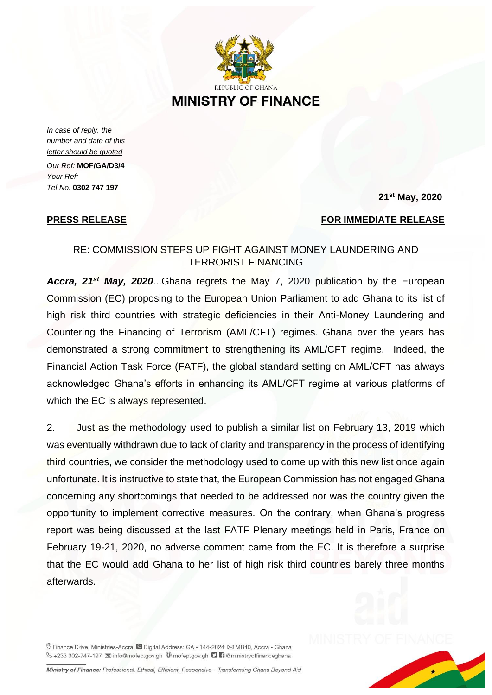

**MINISTRY OF FINANCE** 

*In case of reply, the number and date of this letter should be quoted*

*Our Ref:* **MOF/GA/D3/4** *Your Ref: Tel No:* **0302 747 197** 

## **21st May, 2020**

## **PRESS RELEASE** FOR IMMEDIATE RELEASE

## RE: COMMISSION STEPS UP FIGHT AGAINST MONEY LAUNDERING AND TERRORIST FINANCING

*Accra, 21st May, 2020*...Ghana regrets the May 7, 2020 publication by the European Commission (EC) proposing to the European Union Parliament to add Ghana to its list of high risk third countries with strategic deficiencies in their Anti-Money Laundering and Countering the Financing of Terrorism (AML/CFT) regimes. Ghana over the years has demonstrated a strong commitment to strengthening its AML/CFT regime. Indeed, the Financial Action Task Force (FATF), the global standard setting on AML/CFT has always acknowledged Ghana's efforts in enhancing its AML/CFT regime at various platforms of which the EC is always represented.

2. Just as the methodology used to publish a similar list on February 13, 2019 which was eventually withdrawn due to lack of clarity and transparency in the process of identifying third countries, we consider the methodology used to come up with this new list once again unfortunate. It is instructive to state that, the European Commission has not engaged Ghana concerning any shortcomings that needed to be addressed nor was the country given the opportunity to implement corrective measures. On the contrary, when Ghana's progress report was being discussed at the last FATF Plenary meetings held in Paris, France on February 19-21, 2020, no adverse comment came from the EC. It is therefore a surprise that the EC would add Ghana to her list of high risk third countries barely three months afterwards.

© Finance Drive, Ministries-Accra iD Digital Address: GA - 144-2024 ⊠ MB40, Accra - Ghana V +233 302-747-197 ⊠ info@mofep.gov.gh + mofep.gov.gh ■ ministryoffinanceghana